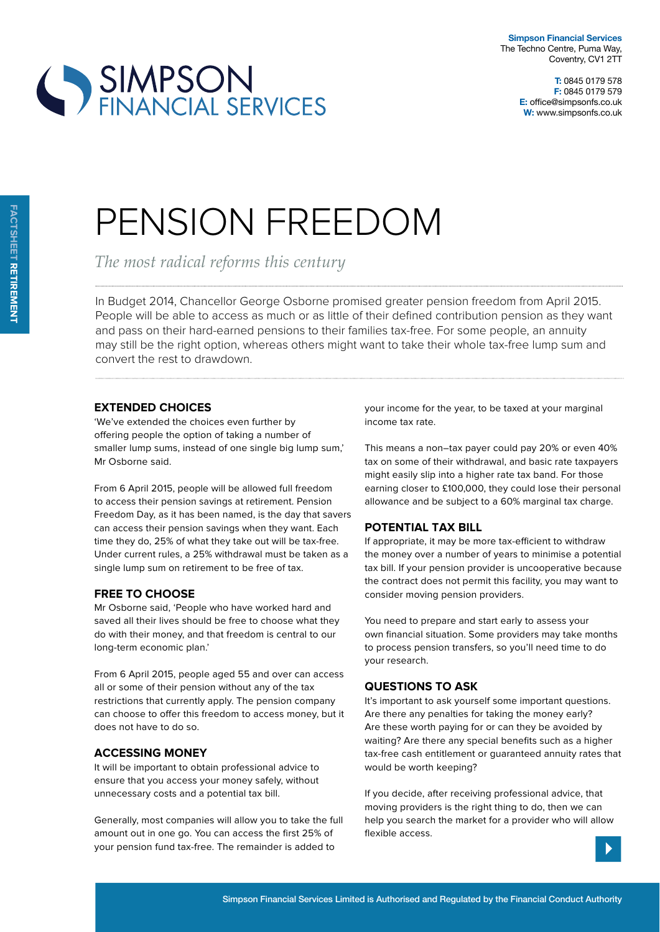

# SIMPSON<br>FINANCIAL SERVICES

## PENSION FREEDOM

*The most radical reforms this century*

In Budget 2014, Chancellor George Osborne promised greater pension freedom from April 2015. People will be able to access as much or as little of their defined contribution pension as they want and pass on their hard-earned pensions to their families tax-free. For some people, an annuity may still be the right option, whereas others might want to take their whole tax-free lump sum and convert the rest to drawdown.

#### **extended cHoices**

'We've extended the choices even further by offering people the option of taking a number of smaller lump sums, instead of one single big lump sum,' Mr Osborne said.

From 6 April 2015, people will be allowed full freedom to access their pension savings at retirement. Pension Freedom Day, as it has been named, is the day that savers can access their pension savings when they want. Each time they do, 25% of what they take out will be tax-free. Under current rules, a 25% withdrawal must be taken as a single lump sum on retirement to be free of tax.

### **Free to cHoose**

Mr Osborne said, 'People who have worked hard and saved all their lives should be free to choose what they do with their money, and that freedom is central to our long-term economic plan.'

From 6 April 2015, people aged 55 and over can access all or some of their pension without any of the tax restrictions that currently apply. The pension company can choose to offer this freedom to access money, but it does not have to do so.

### **accessing money**

It will be important to obtain professional advice to ensure that you access your money safely, without unnecessary costs and a potential tax bill.

Generally, most companies will allow you to take the full amount out in one go. You can access the first 25% of your pension fund tax-free. The remainder is added to

your income for the year, to be taxed at your marginal income tax rate.

This means a non–tax payer could pay 20% or even 40% tax on some of their withdrawal, and basic rate taxpayers might easily slip into a higher rate tax band. For those earning closer to £100,000, they could lose their personal allowance and be subject to a 60% marginal tax charge.

### **potential tax Bill**

If appropriate, it may be more tax-efficient to withdraw the money over a number of years to minimise a potential tax bill. If your pension provider is uncooperative because the contract does not permit this facility, you may want to consider moving pension providers.

You need to prepare and start early to assess your own financial situation. Some providers may take months to process pension transfers, so you'll need time to do your research.

#### **Questions to ask**

It's important to ask yourself some important questions. Are there any penalties for taking the money early? Are these worth paying for or can they be avoided by waiting? Are there any special benefits such as a higher tax-free cash entitlement or guaranteed annuity rates that would be worth keeping?

If you decide, after receiving professional advice, that moving providers is the right thing to do, then we can help you search the market for a provider who will allow flexible access.